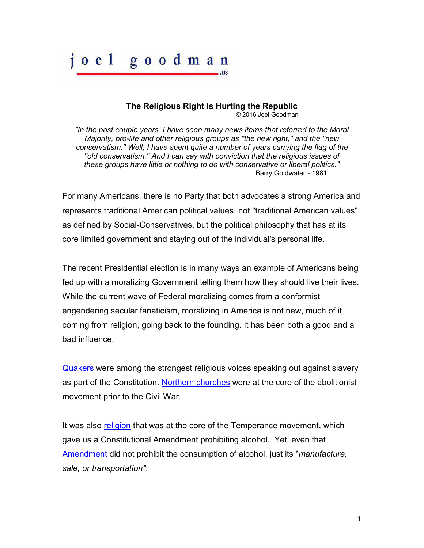## goodman  $\alpha$  e  $\alpha$

## **The Religious Right Is Hurting the Republic**

 $.11S$ 

© 2016 Joel Goodman

*"In the past couple years, I have seen many news items that referred to the Moral Majority, pro-life and other religious groups as ''the new right,'' and the ''new conservatism.'' Well, I have spent quite a number of years carrying the flag of the ''old conservatism.'' And I can say with conviction that the religious issues of these groups have little or nothing to do with conservative or liberal politics."*  **Barry Goldwater - 1981** 

For many Americans, there is no Party that both advocates a strong America and represents traditional American political values, not "traditional American values" as defined by Social-Conservatives, but the political philosophy that has at its core limited government and staying out of the individual's personal life.

The recent Presidential election is in many ways an example of Americans being fed up with a moralizing Government telling them how they should live their lives. While the current wave of Federal moralizing comes from a conformist engendering secular fanaticism, moralizing in America is not new, much of it coming from religion, going back to the founding. It has been both a good and a bad influence.

[Quakers](http://csac.history.wisc.edu/quaker_opposition_essay.pdf) were among the strongest religious voices speaking out against slavery as part of the Constitution. [Northern churches](http://www.christianchronicler.com/history1/slavery_and_the_churches.htm) were at the core of the abolitionist movement prior to the Civil War.

It was also [religion](http://www.history.com/topics/18th-and-21st-amendments) that was at the core of the Temperance movement, which gave us a Constitutional Amendment prohibiting alcohol. Yet, even that [Amendment](https://www.law.cornell.edu/constitution/amendmentxviii) did not prohibit the consumption of alcohol, just its "*manufacture, sale, or transportation"*: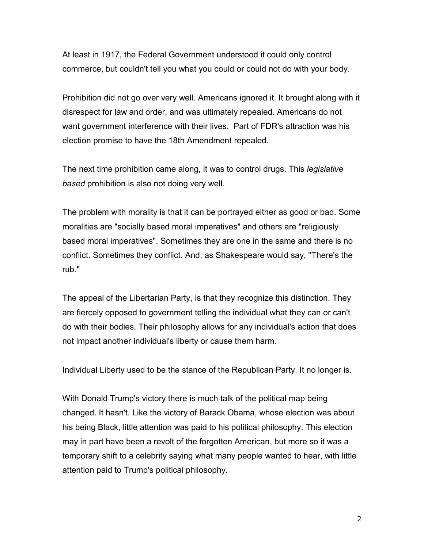At least in 1917, the Federal Government understood it could only control commerce, but couldn't tell you what you could or could not do with your body.

Prohibition did not go over very well. Americans ignored it. It brought along with it disrespect for law and order, and was ultimately repealed. Americans do not want government interference with their lives. Part of FDR's attraction was his election promise to have the 18th Amendment repealed.

The next time prohibition came along, it was to control drugs. This *legislative based* prohibition is also not doing very well.

The problem with morality is that it can be portrayed either as good or bad. Some moralities are "socially based moral imperatives" and others are "religiously based moral imperatives". Sometimes they are one in the same and there is no conflict. Sometimes they conflict. And, as Shakespeare would say, "There's the rub."

The appeal of the Libertarian Party, is that they recognize this distinction. They are fiercely opposed to government telling the individual what they can or can't do with their bodies. Their philosophy allows for any individual's action that does not impact another individual's liberty or cause them harm.

Individual Liberty used to be the stance of the Republican Party. It no longer is.

With Donald Trump's victory there is much talk of the political map being changed. It hasn't. Like the victory of Barack Obama, whose election was about his being Black, little attention was paid to his political philosophy. This election may in part have been a revolt of the forgotten American, but more so it was a temporary shift to a celebrity saying what many people wanted to hear, with little attention paid to Trump's political philosophy.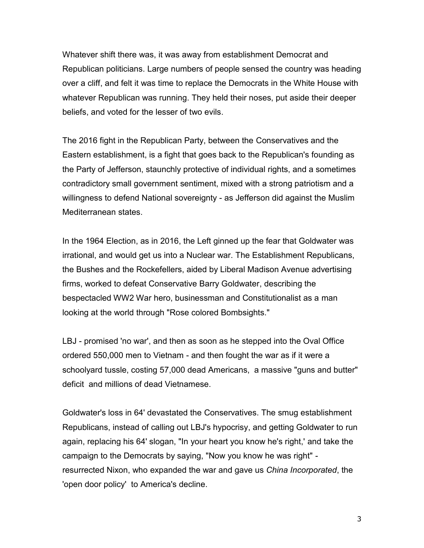Whatever shift there was, it was away from establishment Democrat and Republican politicians. Large numbers of people sensed the country was heading over a cliff, and felt it was time to replace the Democrats in the White House with whatever Republican was running. They held their noses, put aside their deeper beliefs, and voted for the lesser of two evils.

The 2016 fight in the Republican Party, between the Conservatives and the Eastern establishment, is a fight that goes back to the Republican's founding as the Party of Jefferson, staunchly protective of individual rights, and a sometimes contradictory small government sentiment, mixed with a strong patriotism and a willingness to defend National sovereignty - as Jefferson did against the Muslim Mediterranean states.

In the 1964 Election, as in 2016, the Left ginned up the fear that Goldwater was irrational, and would get us into a Nuclear war. The Establishment Republicans, the Bushes and the Rockefellers, aided by Liberal Madison Avenue advertising firms, worked to defeat Conservative Barry Goldwater, describing the bespectacled WW2 War hero, businessman and Constitutionalist as a man looking at the world through "Rose colored Bombsights."

LBJ - promised 'no war', and then as soon as he stepped into the Oval Office ordered 550,000 men to Vietnam - and then fought the war as if it were a schoolyard tussle, costing 57,000 dead Americans, a massive "guns and butter" deficit and millions of dead Vietnamese.

Goldwater's loss in 64' devastated the Conservatives. The smug establishment Republicans, instead of calling out LBJ's hypocrisy, and getting Goldwater to run again, replacing his 64' slogan, "In your heart you know he's right,' and take the campaign to the Democrats by saying, "Now you know he was right" resurrected Nixon, who expanded the war and gave us *China Incorporated*, the 'open door policy' to America's decline.

3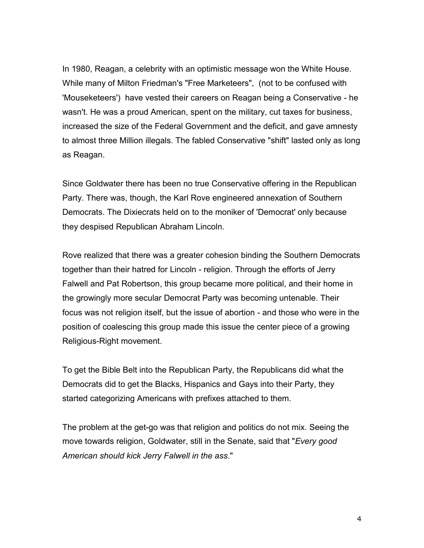In 1980, Reagan, a celebrity with an optimistic message won the White House. While many of Milton Friedman's "Free Marketeers", (not to be confused with 'Mouseketeers') have vested their careers on Reagan being a Conservative - he wasn't. He was a proud American, spent on the military, cut taxes for business, increased the size of the Federal Government and the deficit, and gave amnesty to almost three Million illegals. The fabled Conservative "shift" lasted only as long as Reagan.

Since Goldwater there has been no true Conservative offering in the Republican Party. There was, though, the Karl Rove engineered annexation of Southern Democrats. The Dixiecrats held on to the moniker of 'Democrat' only because they despised Republican Abraham Lincoln.

Rove realized that there was a greater cohesion binding the Southern Democrats together than their hatred for Lincoln - religion. Through the efforts of Jerry Falwell and Pat Robertson, this group became more political, and their home in the growingly more secular Democrat Party was becoming untenable. Their focus was not religion itself, but the issue of abortion - and those who were in the position of coalescing this group made this issue the center piece of a growing Religious-Right movement.

To get the Bible Belt into the Republican Party, the Republicans did what the Democrats did to get the Blacks, Hispanics and Gays into their Party, they started categorizing Americans with prefixes attached to them.

The problem at the get-go was that religion and politics do not mix. Seeing the move towards religion, Goldwater, still in the Senate, said that "*Every good American should kick Jerry Falwell in the ass*."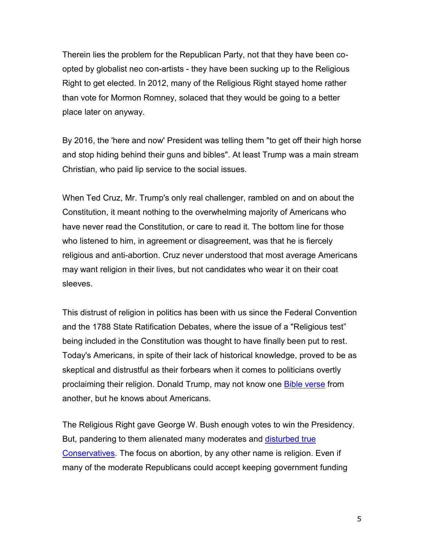Therein lies the problem for the Republican Party, not that they have been coopted by globalist neo con-artists - they have been sucking up to the Religious Right to get elected. In 2012, many of the Religious Right stayed home rather than vote for Mormon Romney, solaced that they would be going to a better place later on anyway.

By 2016, the 'here and now' President was telling them "to get off their high horse and stop hiding behind their guns and bibles". At least Trump was a main stream Christian, who paid lip service to the social issues.

When Ted Cruz, Mr. Trump's only real challenger, rambled on and on about the Constitution, it meant nothing to the overwhelming majority of Americans who have never read the Constitution, or care to read it. The bottom line for those who listened to him, in agreement or disagreement, was that he is fiercely religious and anti-abortion. Cruz never understood that most average Americans may want religion in their lives, but not candidates who wear it on their coat sleeves.

This distrust of religion in politics has been with us since the Federal Convention and the 1788 State Ratification Debates, where the issue of a "Religious test" being included in the Constitution was thought to have finally been put to rest. Today's Americans, in spite of their lack of historical knowledge, proved to be as skeptical and distrustful as their forbears when it comes to politicians overtly proclaiming their religion. Donald Trump, may not know one **Bible verse** from another, but he knows about Americans.

The Religious Right gave George W. Bush enough votes to win the Presidency. But, pandering to them alienated many moderates and [disturbed true](http://www.nytimes.com/1981/09/16/us/excerpts-from-goldwater-remarks.html)  [Conservatives.](http://www.nytimes.com/1981/09/16/us/excerpts-from-goldwater-remarks.html) The focus on abortion, by any other name is religion. Even if many of the moderate Republicans could accept keeping government funding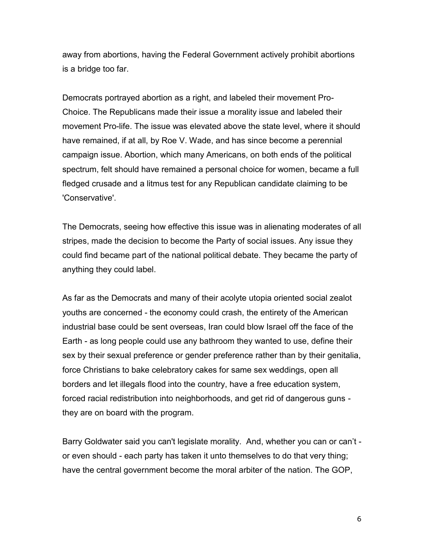away from abortions, having the Federal Government actively prohibit abortions is a bridge too far.

Democrats portrayed abortion as a right, and labeled their movement Pro-Choice. The Republicans made their issue a morality issue and labeled their movement Pro-life. The issue was elevated above the state level, where it should have remained, if at all, by Roe V. Wade, and has since become a perennial campaign issue. Abortion, which many Americans, on both ends of the political spectrum, felt should have remained a personal choice for women, became a full fledged crusade and a litmus test for any Republican candidate claiming to be 'Conservative'.

The Democrats, seeing how effective this issue was in alienating moderates of all stripes, made the decision to become the Party of social issues. Any issue they could find became part of the national political debate. They became the party of anything they could label.

As far as the Democrats and many of their acolyte utopia oriented social zealot youths are concerned - the economy could crash, the entirety of the American industrial base could be sent overseas, Iran could blow Israel off the face of the Earth - as long people could use any bathroom they wanted to use, define their sex by their sexual preference or gender preference rather than by their genitalia, force Christians to bake celebratory cakes for same sex weddings, open all borders and let illegals flood into the country, have a free education system, forced racial redistribution into neighborhoods, and get rid of dangerous guns they are on board with the program.

Barry Goldwater said you can't legislate morality. And, whether you can or can't or even should - each party has taken it unto themselves to do that very thing; have the central government become the moral arbiter of the nation. The GOP,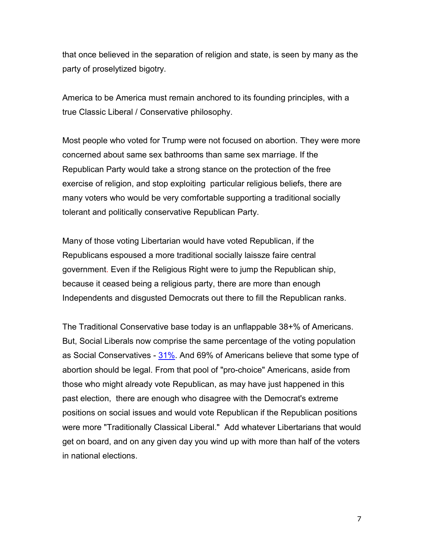that once believed in the separation of religion and state, is seen by many as the party of proselytized bigotry.

America to be America must remain anchored to its founding principles, with a true Classic Liberal / Conservative philosophy.

Most people who voted for Trump were not focused on abortion. They were more concerned about same sex bathrooms than same sex marriage. If the Republican Party would take a strong stance on the protection of the free exercise of religion, and stop exploiting particular religious beliefs, there are many voters who would be very comfortable supporting a traditional socially tolerant and politically conservative Republican Party.

Many of those voting Libertarian would have voted Republican, if the Republicans espoused a more traditional socially laissze faire central government. Even if the Religious Right were to jump the Republican ship, because it ceased being a religious party, there are more than enough Independents and disgusted Democrats out there to fill the Republican ranks.

The Traditional Conservative base today is an unflappable 38+% of Americans. But, Social Liberals now comprise the same percentage of the voting population as Social Conservatives [- 31%.](http://m.startribune.com/what-s-a-voter-like-me-to-do-the-social-conservative/397154351/?section=opinion) And 69% of Americans believe that some type of abortion should be legal. From that pool of "pro-choice" Americans, aside from those who might already vote Republican, as may have just happened in this past election, there are enough who disagree with the Democrat's extreme positions on social issues and would vote Republican if the Republican positions were more "Traditionally Classical Liberal." Add whatever Libertarians that would get on board, and on any given day you wind up with more than half of the voters in national elections.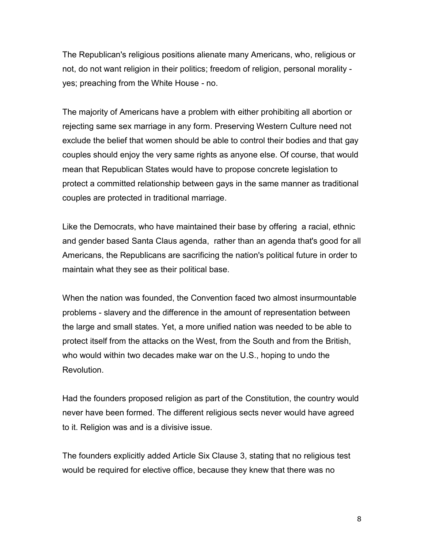The Republican's religious positions alienate many Americans, who, religious or not, do not want religion in their politics; freedom of religion, personal morality yes; preaching from the White House - no.

The majority of Americans have a problem with either prohibiting all abortion or rejecting same sex marriage in any form. Preserving Western Culture need not exclude the belief that women should be able to control their bodies and that gay couples should enjoy the very same rights as anyone else. Of course, that would mean that Republican States would have to propose concrete legislation to protect a committed relationship between gays in the same manner as traditional couples are protected in traditional marriage.

Like the Democrats, who have maintained their base by offering a racial, ethnic and gender based Santa Claus agenda, rather than an agenda that's good for all Americans, the Republicans are sacrificing the nation's political future in order to maintain what they see as their political base.

When the nation was founded, the Convention faced two almost insurmountable problems - slavery and the difference in the amount of representation between the large and small states. Yet, a more unified nation was needed to be able to protect itself from the attacks on the West, from the South and from the British, who would within two decades make war on the U.S., hoping to undo the Revolution.

Had the founders proposed religion as part of the Constitution, the country would never have been formed. The different religious sects never would have agreed to it. Religion was and is a divisive issue.

The founders explicitly added Article Six Clause 3, stating that no religious test would be required for elective office, because they knew that there was no